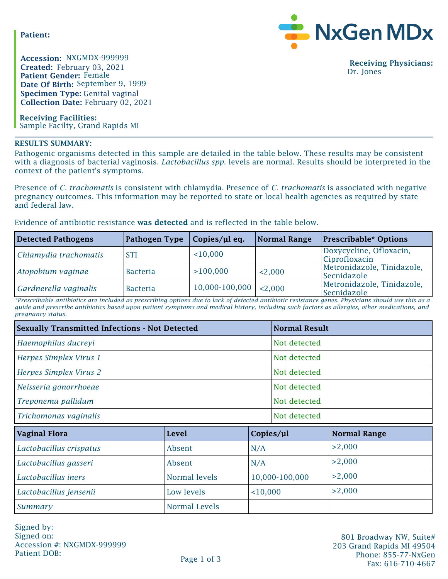**Patient:**

**Created:** February 03, 2021 **Patient Gender:** Female **Date Of Birth:** September 9, 1999 **Specimen Type:** Genital vaginal **Collection Date:** February 02, 2021 Accession: NXGMDX-999999

**Receiving Facilities:** Sample Facilty, Grand Rapids MI

## **RESULTS SUMMARY:**

MxGen MDx

**Receiving Physicians:** Dr. Jones

Pathogenic organisms detected in this sample are detailed in the table below. These results may be consistent with a diagnosis of bacterial vaginosis. *Lactobacillus spp*. levels are normal. Results should be interpreted in the context of the patient's symptoms.

Presence of *C. trachomatis* is consistent with chlamydia. Presence of *C. trachomatis* is associated with negative pregnancy outcomes. This information may be reported to state or local health agencies as required by state and federal law.

Evidence of antibiotic resistance **was detected** and is reflected in the table below.

| <b>Detected Pathogens</b> | Pathogen Type   | Copies/µl eq.      | Normal Range | <b>Prescribable* Options</b>              |
|---------------------------|-----------------|--------------------|--------------|-------------------------------------------|
| Chlamydia trachomatis     | <b>STI</b>      | 10,000             |              | Doxycycline, Ofloxacin,<br>Ciprofloxacin  |
| Atopobium vaginae         | <b>Bacteria</b> | >100,000           | 2,000        | Metronidazole, Tinidazole,<br>Secnidazole |
| Gardnerella vaginalis     | <b>Bacteria</b> | $10,000 - 100,000$ | < 2.000      | Metronidazole, Tinidazole,<br>Secnidazole |

*\*Prescribable antibiotics are included as prescribing options due to lack of detected antibiotic resistance genes. Physicians should use this as a guide and prescribe antibiotics based upon patient symptoms and medical history, including such factors as allergies, other medications, and pregnancy status.*

| <b>Sexually Transmitted Infections - Not Detected</b> | <b>Normal Result</b> |                |           |                     |
|-------------------------------------------------------|----------------------|----------------|-----------|---------------------|
| Haemophilus ducreyi                                   | Not detected         |                |           |                     |
| Herpes Simplex Virus 1                                | Not detected         |                |           |                     |
| Herpes Simplex Virus 2                                | Not detected         |                |           |                     |
| Neisseria gonorrhoeae                                 | Not detected         |                |           |                     |
| Treponema pallidum                                    | Not detected         |                |           |                     |
| Trichomonas vaginalis                                 | Not detected         |                |           |                     |
| <b>Vaginal Flora</b>                                  | <b>Level</b>         |                | Copies/µl | <b>Normal Range</b> |
| Lactobacillus crispatus                               | Absent               | N/A            |           | >2,000              |
| Lactobacillus gasseri                                 | Absent               | N/A            |           | >2,000              |
| Lactobacillus iners                                   | Normal levels        | 10,000-100,000 |           | >2,000              |
| Lactobacillus jensenii                                | Low levels           | 10,000         |           | >2,000              |
| Summary                                               | <b>Normal Levels</b> |                |           |                     |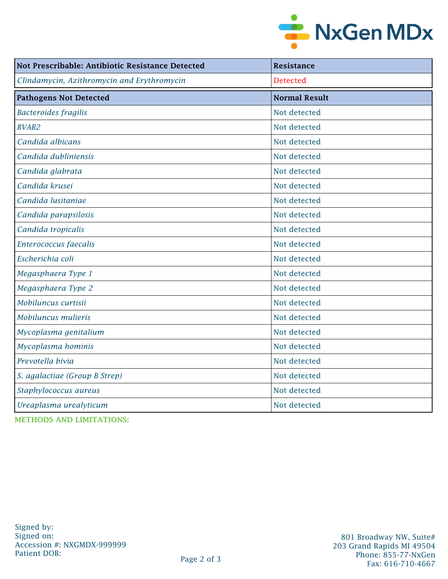

| Not Prescribable: Antibiotic Resistance Detected | <b>Resistance</b>    |  |  |
|--------------------------------------------------|----------------------|--|--|
| Clindamycin, Azithromycin and Erythromycin       | <b>Detected</b>      |  |  |
| <b>Pathogens Not Detected</b>                    | <b>Normal Result</b> |  |  |
| <b>Bacteroides fragilis</b>                      | Not detected         |  |  |
| <b>BVAB2</b>                                     | Not detected         |  |  |
| Candida albicans                                 | Not detected         |  |  |
| Candida dubliniensis                             | Not detected         |  |  |
| Candida glabrata                                 | Not detected         |  |  |
| Candida krusei                                   | Not detected         |  |  |
| Candida lusitaniae                               | Not detected         |  |  |
| Candida parapsilosis                             | Not detected         |  |  |
| Candida tropicalis                               | Not detected         |  |  |
| Enterococcus faecalis                            | Not detected         |  |  |
| Escherichia coli                                 | Not detected         |  |  |
| Megasphaera Type 1                               | Not detected         |  |  |
| Megasphaera Type 2                               | Not detected         |  |  |
| Mobiluncus curtisii                              | Not detected         |  |  |
| Mobiluncus mulieris                              | Not detected         |  |  |
| Mycoplasma genitalium                            | Not detected         |  |  |
| Mycoplasma hominis                               | Not detected         |  |  |
| Prevotella bivia                                 | Not detected         |  |  |
| S. agalactiae (Group B Strep)                    | Not detected         |  |  |
| Staphylococcus aureus                            | Not detected         |  |  |
| Ureaplasma urealyticum                           | Not detected         |  |  |

**METHODS AND LIMITATIONS:**